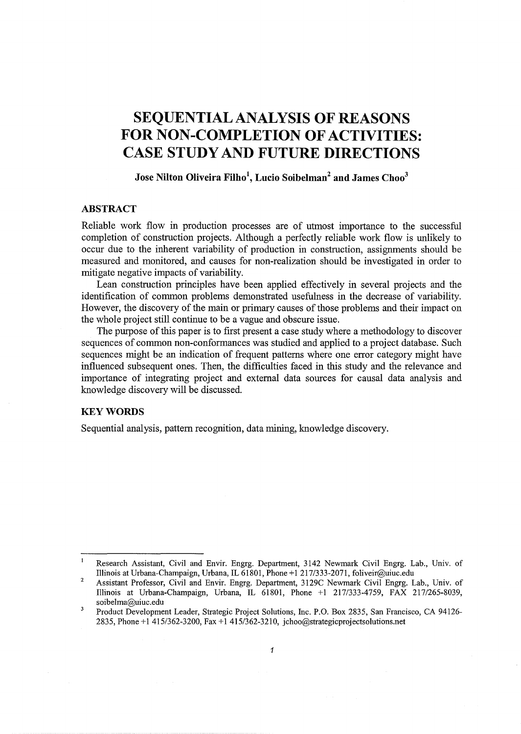# **SEQUENTIAL ANALYSIS OF REASONS FOR NON-COMPLETION OF ACTIVITIES: CASE STUDY AND FUTURE DIRECTIONS**

# **Jose Nilton Oliveira Filho<sup>1</sup> , Lucio Soibelman2 and James Choo3**

# **ABSTRACT**

Reliable work flow in production processes are of utmost importance to the successful completion of construction projects. Although a perfectly reliable work flow is unlikely to occur due to the inherent variability of production in construction, assignments should be measured and monitored, and causes for non-realization should be investigated in order to mitigate negative impacts of variability.

Lean construction principles have been applied effectively in several projects and the identification of common problems demonstrated usefulness in the decrease of variability. However, the discovery of the main or primary causes of those problems and their impact on the whole project still continue to be a vague and obscure issue.

The purpose of this paper is to first present a case study where a methodology to discover sequences of common non-conformances was studied and applied to a project database. Such sequences might be an indication of frequent patterns where one error category might have influenced subsequent ones. Then, the difficulties faced in this study and the relevance and importance of integrating project and external data sources for causal data analysis and knowledge discovery will be discussed.

## **KEYWORDS**

Sequential analysis, pattern recognition, data mining, knowledge discovery.

 $\mathbf{1}$ Research Assistant, Civil and Envir. Engrg. Department, 3142 Newmark Civil Engrg. Lab., Univ. of Illinois at Urbana-Champaign, Urbana, IL 61801, Phone +1 217/333-2071, foliveir@uiuc.edu

<sup>2</sup>  Assistant Professor, Civil and Envir. Engrg. Department, 3129C Newmark Civil Engrg. Lab., Univ. of Illinois at Urbana-Champaign, Urbana, IL 61801, Phone +1 217/333-4759, FAX 217/265-8039, soibelma@uiuc.edu

 $\overline{\mathbf{3}}$ Product Development Leader, Strategic Project Solutions, Inc. P.O. Box 2835, San Francisco, CA 94126- 2835, Phone+ 1 415/362-3200, Fax + 1 415/362-3210, jchoo@strategicprojectsolutions.net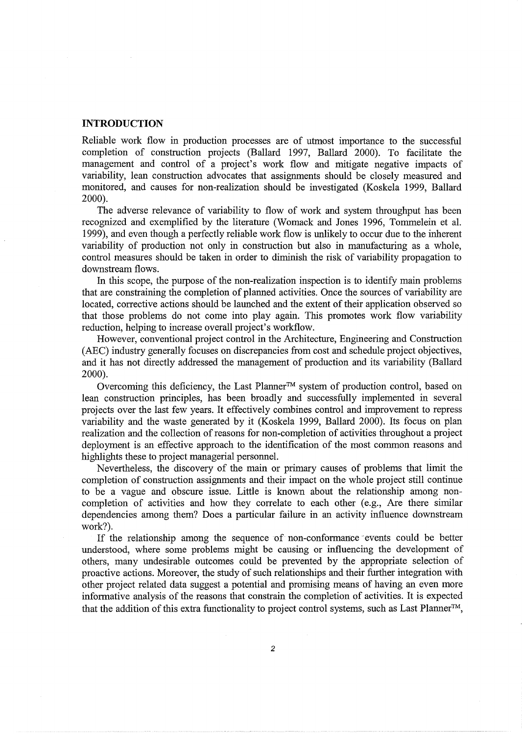#### **INTRODUCTION**

Reliable work flow in production processes are of utmost importance to the successful completion of construction projects (Ballard 1997, Ballard 2000). To facilitate the management and control of a project's work flow and mitigate negative impacts of variability, lean construction advocates that assignments should be closely measured and monitored, and causes for non-realization should be investigated (Koskela 1999, Ballard 2000).

The adverse relevance of variability to flow of work and system throughput has been recognized and exemplified by the literature (Womack and Jones 1996, Tommelein et al. 1999), and even though a perfectly reliable work flow is unlikely to occur due to the inherent variability of production not only in construction but also in manufacturing as a whole, control measures should be taken in order to diminish the risk of variability propagation to downstream flows.

In this scope, the purpose of the non-realization inspection is to identify main problems that are constraining the completion of planned activities. Once the sources of variability are located, corrective actions should be launched and the extent of their application observed so that those problems do not come into play again. This promotes work flow variability reduction, helping to increase overall project's workflow.

However, conventional project control in the Architecture, Engineering and Construction (AEC) industry generally focuses on discrepancies from cost and schedule project objectives, and it has not directly addressed the management of production and its variability (Ballard 2000).

Overcoming this deficiency, the Last Planner™ system of production control, based on lean construction principles, has been broadly and successfully implemented in several projects over the last few years. It effectively combines control and improvement to repress variability and the waste generated by it (Koskela 1999, Ballard 2000). Its focus on plan realization and the collection of reasons for non-completion of activities throughout a project deployment is an effective approach to the identification of the most common reasons and highlights these to project managerial personnel.

Nevertheless, the discovery of the main or primary causes of problems that limit the completion of construction assignments and their impact on the whole project still continue to be a vague and obscure issue. Little is known about the relationship among noncompletion of activities and how they correlate to each other (e.g., Are there similar dependencies among them? Does a particular failure in an activity influence downstream work?).

If the relationship among the sequence of non-conformance -events could be better understood, where some problems might be causing or influencing the development of others, many undesirable outcomes could be prevented by the appropriate selection of proactive actions. Moreover, the study of such relationships and their further integration with other project related data suggest a potential and promising means of having an even more informative analysis of the reasons that constrain the completion of activities. It is expected that the addition of this extra functionality to project control systems, such as Last Planner™,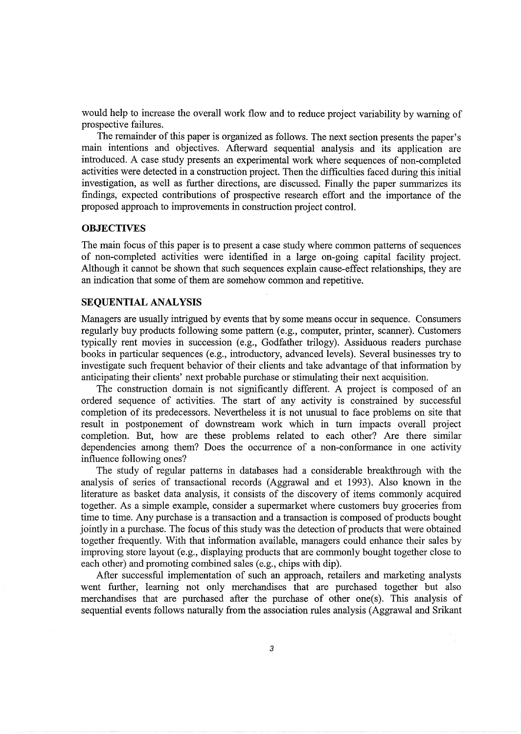would help to increase the overall work flow and to reduce project variability by warning of prospective failures.

The remainder of this paper is organized as follows. The next section presents the paper's main intentions and objectives. Afterward sequential analysis and its application are introduced. A case study presents an experimental work where sequences of non-completed activities were detected in a construction project. Then the difficulties faced during this initial investigation, as well as further directions, are discussed. Finally the paper summarizes its findings, expected contributions of prospective research effort and the importance of the proposed approach to improvements in construction project control.

### **OBJECTIVES**

The main focus of this paper is to present a case study where common patterns of sequences of non-completed activities were identified in a large on-going capital facility project. Although it cannot be shown that such sequences explain cause-effect relationships, they are an indication that some of them are somehow common and repetitive.

### **SEQUENTIAL ANALYSIS**

Managers are usually intrigued by events that by some means occur in sequence. Consumers regularly buy products following some pattern (e.g., computer, printer, scanner). Customers typically rent movies in succession (e.g., Godfather trilogy). Assiduous readers purchase books in particular sequences (e.g., introductory, advanced levels). Several businesses try to investigate such frequent behavior of their clients and take advantage of that information by anticipating their clients' next probable purchase or stimulating their next acquisition.

The construction domain is not significantly different. A project is composed of an ordered sequence of activities. The start of any activity is constrained by successful completion of its predecessors. Nevertheless it is not unusual to face problems on site that result in postponement of downstream work which in tum impacts overall project completion. But, how are these problems related to each other? Are there similar dependencies among them? Does the occurrence of a non-conformance in one activity influence following ones?

The study of regular patterns in databases had a considerable breakthrough with the analysis of series of transactional records (Aggrawal and et 1993). Also known in the literature as basket data analysis, it consists of the discovery of items commonly acquired together. As a simple example, consider a supermarket where customers buy groceries from time to time. Any purchase is a transaction and a transaction is composed of products bought jointly in a purchase. The focus of this study was the detection of products that were obtained together frequently. With that information available, managers could enhance their sales by improving store layout (e.g., displaying products that are commonly bought together close to each other) and promoting combined sales (e.g., chips with dip).

After successful implementation of such an approach, retailers and marketing analysts went further, learning not only merchandises that are purchased together but also merchandises that are purchased after the purchase of other one(s). This analysis of sequential events follows naturally from the association rules analysis (Aggrawal and Srikant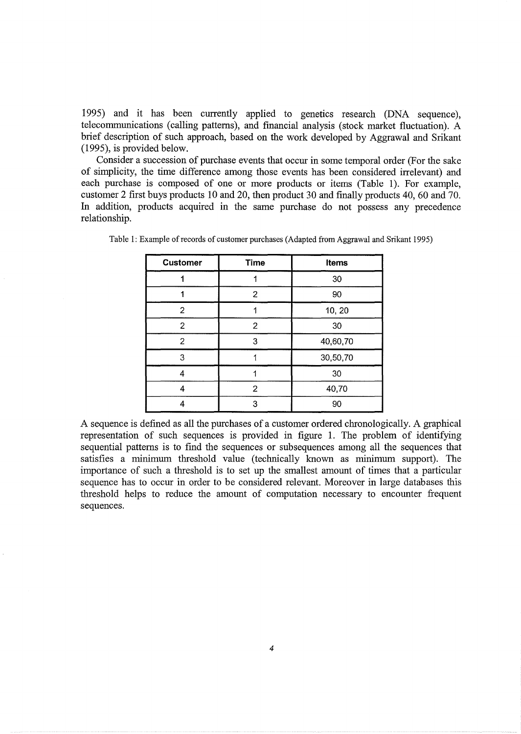1995) and it has been currently applied to genetics research (DNA sequence), telecommunications (calling patterns), and financial analysis (stock market fluctuation). A brief description of such approach, based on the work developed by Aggrawal and Srikant (1995), is provided below.

Consider a succession of purchase events that occur in some temporal order (For the sake of simplicity, the time difference among those events has been considered irrelevant) and each purchase is composed of one or more products or items (Table 1). For example, customer 2 first buys products 10 and 20, then product 30 and finally products 40, 60 and 70. In addition, products acquired in the same purchase do not possess any precedence relationship.

| <b>Customer</b> | <b>Time</b><br><b>Items</b> |          |  |
|-----------------|-----------------------------|----------|--|
|                 |                             | 30       |  |
|                 | $\overline{c}$              | 90       |  |
| $\overline{2}$  |                             | 10, 20   |  |
| $\overline{2}$  | $\overline{c}$              | 30       |  |
| 2               | 3                           | 40,60,70 |  |
| 3               |                             | 30,50,70 |  |
| 4               |                             | 30       |  |
| 4               | 2                           | 40,70    |  |
|                 | 3                           | 90       |  |

Table 1: Example of records of customer purchases (Adapted from Aggrawal and Srikant 1995)

A sequence is defined as all the purchases of a customer ordered chronologically. A graphical representation of such sequences is provided in figure 1. The problem of identifying sequential patterns is to find the sequences or subsequences among all the sequences that satisfies a minimum threshold value (technically known as minimum support). The importance of such a threshold is to set up the smallest amount of times that a particular sequence has to occur in order to be considered relevant. Moreover in large databases this threshold helps to reduce the amount of computation necessary to encounter frequent sequences.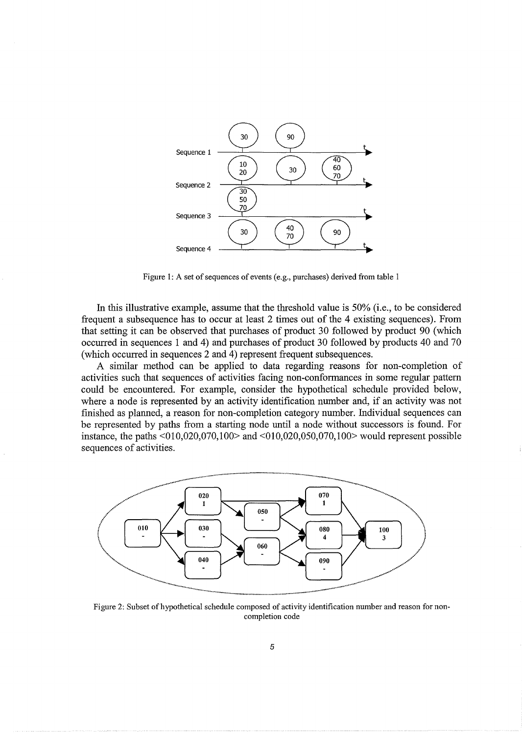

Figure 1: A set of sequences of events (e.g., purchases) derived from table 1

In this illustrative example, assume that the threshold value is 50% (i.e., to be considered frequent a subsequence has to occur at least 2 times out of the 4 existing sequences). From that setting it can be observed that purchases of product 30 followed by product 90 (which occurred in sequences 1 and 4) and purchases of product 30 followed by products 40 and 70 (which occurred in sequences 2 and 4) represent frequent subsequences.

A similar method can be applied to data regarding reasons for non-completion of activities such that sequences of activities facing non-conformances in some regular pattern could be encountered. For example, consider the hypothetical schedule provided below, where a node is represented by an activity identification number and, if an activity was not finished as planned, a reason for non-completion category number. Individual sequences can be represented by paths from a starting node until a node without successors is found. For instance, the paths <010,020,070,100> and <010,020,050,070,100> would represent possible sequences of activities.



Figure 2: Subset of hypothetical schedule composed of activity identification number and reason for noncompletion code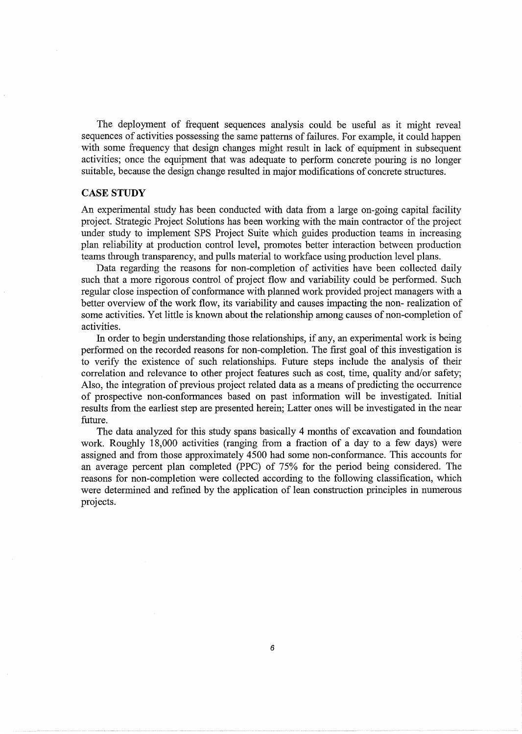The deployment of frequent sequences analysis could be useful as it might reveal sequences of activities possessing the same patterns of failures. For example, it could happen with some frequency that design changes might result in lack of equipment in subsequent activities; once the equipment that was adequate to perform concrete pouring is no longer suitable, because the design change resulted in major modifications of concrete structures.

### **CASE STUDY**

An experimental study has been conducted with data from a large on-going capital facility project. Strategic Project Solutions has been working with the main contractor of the project under study to implement SPS Project Suite which guides production teams in increasing plan reliability at production control level, promotes better interaction between production teams through transparency, and pulls material to workface using production level plans.

Data regarding the reasons for non-completion of activities have been collected daily such that a more rigorous control of project flow and variability could be performed. Such regular close inspection of conformance with planned work provided project managers with a better overview of the work flow, its variability and causes impacting the non- realization of some activities. Yet little is known about the relationship among causes of non-completion of activities.

In order to begin understanding those relationships, if any, an experimental work is being performed on the recorded reasons for non-completion. The first goal of this investigation is to verify the existence of such relationships. Future steps include the analysis of their correlation and relevance to other project features such as cost, time, quality and/or safety; Also, the integration of previous project related data as a means of predicting the occurrence of prospective non-conformances based on past information will be investigated. Initial results from the earliest step are presented herein; Latter ones will be investigated in the near future.

The data analyzed for this study spans basically 4 months of excavation and foundation work. Roughly 18,000 activities (ranging from a fraction of a day to a few days) were assigned and from those approximately 4500 had some non-conformance. This accounts for an average percent plan completed (PPC) of 75% for the period being considered. The reasons for non-completion were collected according to the following classification, which were determined and refined by the application of lean construction principles in numerous projects.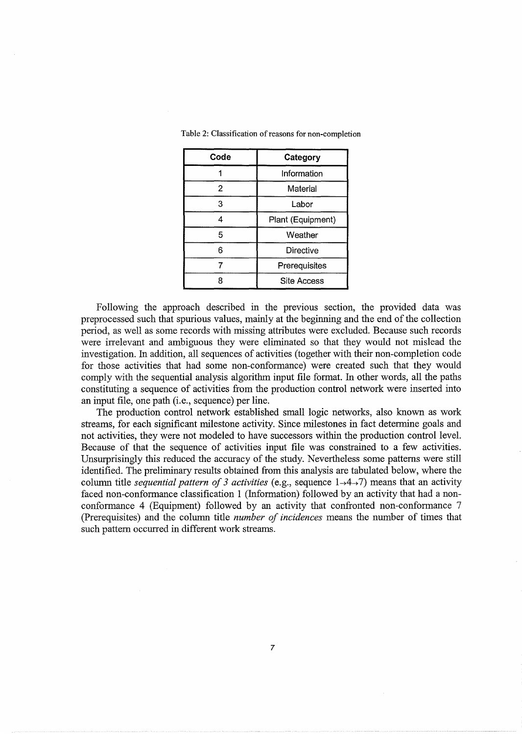| Code | Category           |  |
|------|--------------------|--|
|      | Information        |  |
| 2    | Material           |  |
| 3    | Labor              |  |
| 4    | Plant (Equipment)  |  |
| 5    | Weather            |  |
| 6    | Directive          |  |
|      | Prerequisites      |  |
|      | <b>Site Access</b> |  |

Table 2: Classification of reasons for non-completion

Following the approach described in the previous section, the provided data was preprocessed such that spurious values, mainly at the beginning and the end of the collection period, as well as some records with missing attributes were excluded. Because such records were irrelevant and ambiguous they were eliminated so that they would not mislead the investigation. In addition, all sequences of activities (together with their non-completion code for those activities that had some non-conformance) were created such that they would comply with the sequential analysis algorithm input file format. In other words, all the paths constituting a sequence of activities from the production control network were inserted into an input file, one path (i.e., sequence) per line.

The production control network established small logic networks, also known as work streams, for each significant milestone activity. Since milestones in fact determine goals and not activities, they were not modeled to have successors within the production control level. Because of that the sequence of activities input file was constrained to a few activities. Unsurprisingly this reduced the accuracy of the study. Nevertheless some patterns were still identified. The preliminary results obtained from this analysis are tabulated below, where the column title *sequential pattern of 3 activities* (e.g., sequence  $1\rightarrow4\rightarrow7$ ) means that an activity faced non-conformance classification 1 (Information) followed by an activity that had a nonconformance 4 (Equipment) followed by an activity that confronted non-conformance 7 (Prerequisites) and the column title *number of incidences* means the number of times that such pattern occurred in different work streams.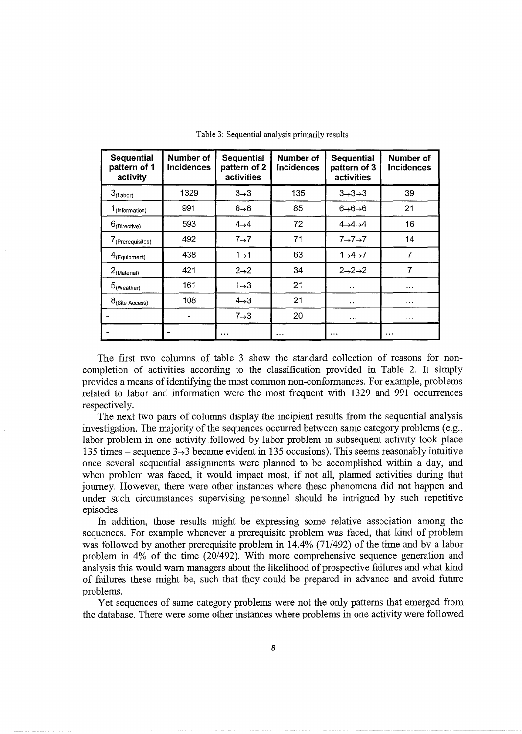| <b>Sequential</b><br>pattern of 1<br>activity | Number of<br><b>Incidences</b> | <b>Sequential</b><br>pattern of 2<br>activities | Number of<br><b>Incidences</b> | <b>Sequential</b><br>pattern of 3<br>activities | Number of<br><b>Incidences</b> |
|-----------------------------------------------|--------------------------------|-------------------------------------------------|--------------------------------|-------------------------------------------------|--------------------------------|
| $3_{( Labor)}$                                | 1329                           | $3\rightarrow3$                                 | 135                            | $3 \rightarrow 3 \rightarrow 3$                 | 39                             |
| 1 <sub>(Information)</sub>                    | 991                            | $6 \rightarrow 6$                               | 85                             | $6 \rightarrow 6 \rightarrow 6$                 | 21                             |
| $6$ (Directive)                               | 593                            | $4\rightarrow 4$                                | 72                             | $4\rightarrow 4\rightarrow 4$                   | 16                             |
| 7 <sub>(Prerequisites)</sub>                  | 492                            | $7\rightarrow7$                                 | 71                             | $7\rightarrow7\rightarrow7$                     | 14                             |
| $4$ (Equipment)                               | 438                            | $1\rightarrow 1$                                | 63                             | $1\rightarrow 4\rightarrow 7$                   | 7                              |
| $2$ <sub>(Material)</sub>                     | 421                            | $2\rightarrow 2$                                | 34                             | $2\rightarrow 2\rightarrow 2$                   | 7                              |
| $5_{\tiny{\textrm{(Weather)}}}$               | 161                            | $1\rightarrow 3$                                | 21                             | $\cdots$                                        |                                |
| $8$ (Site Access)                             | 108                            | $4 \rightarrow 3$                               | 21                             | $\cdots$                                        | .                              |
|                                               |                                | $7\rightarrow3$                                 | 20                             | $\cdots$                                        | $\cdots$                       |
|                                               |                                | $\cdots$                                        | .                              | .                                               | $\cdots$                       |

Table 3: Sequential analysis primarily results

The first two columns of table 3 show the standard collection of reasons for noncompletion of activities according to the classification provided in Table 2. It simply provides a means of identifying the most common non-conformances. For example, problems related to labor and information were the most frequent with 1329 and 991 occurrences respectively.

The next two pairs of columns display the incipient results from the sequential analysis investigation. The majority of the sequences occurred between same category problems (e.g., labor problem in one activity followed by labor problem in subsequent activity took place 135 times – sequence  $3\rightarrow 3$  became evident in 135 occasions). This seems reasonably intuitive once several sequential assignments were planned to be accomplished within a day, and when problem was faced, it would impact most, if not all, planned activities during that journey. However, there were other instances where these phenomena did not happen and under such circumstances supervising personnel should be intrigued by such repetitive episodes.

In addition, those results might be expressing some relative association among the sequences. For example whenever a prerequisite problem was faced, that kind of problem was followed by another prerequisite problem in 14.4% (71/492) of the time and by a labor problem in 4% of the time (20/492). With more comprehensive sequence generation and analysis this would warn managers about the likelihood of prospective failures and what kind of failures these might be, such that they could be prepared in advance and avoid future problems.

Yet sequences of same category problems were not the only patterns that emerged from the database. There were some other instances where problems in one activity were followed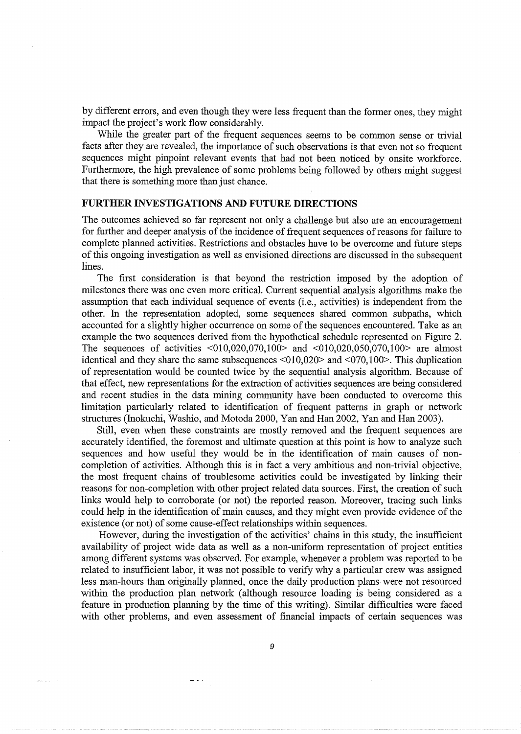by different errors, and even though they were less frequent than the former ones, they might impact the project's work flow considerably.

While the greater part of the frequent sequences seems to be common sense or trivial facts after they are revealed, the importance of such observations is that even not so frequent sequences might pinpoint relevant events that had not been noticed by onsite workforce. Furthermore, the high prevalence of some problems being followed by others might suggest that there is something more than just chance.

# **FURTHER INVESTIGATIONS AND FUTURE DIRECTIONS**

The outcomes achieved so far represent not only a challenge but also are an encouragement for further and deeper analysis of the incidence of frequent sequences of reasons for failure to complete planned activities. Restrictions and obstacles have to be overcome and future steps of this ongoing investigation as well as envisioned directions are discussed in the subsequent lines.

The first consideration is that beyond the restriction imposed by the adoption of milestones there was one even more critical. Current sequential analysis algorithms make the assumption that each individual sequence of events (i.e., activities) is independent from the other. In the representation adopted, some sequences shared common subpaths, which accounted for a slightly higher occurrence on some of the sequences encountered. Take as an example the two sequences derived from the hypothetical schedule represented on Figure 2. The sequences of activities <010,020,070,100> and <010,020,050,070,100> are almost identical and they share the same subsequences  $\langle 010,020 \rangle$  and  $\langle 070,100 \rangle$ . This duplication of representation would be counted twice by the sequential analysis algorithm. Because of that effect, new representations for the extraction of activities sequences are being considered and recent studies in the data mining community have been conducted to overcome this limitation particularly related to identification of frequent patterns in graph or network structures (Inokuchi, Washio, and Motoda 2000, Yan and Han 2002, Yan and Han 2003).

Still, even when these constraints are mostly removed and the frequent sequences are accurately identified, the foremost and ultimate question at this point is how to analyze such sequences and how useful they would be in the identification of main causes of noncompletion of activities. Although this is in fact a very ambitious and non-trivial objective, the most frequent chains of troublesome activities could be investigated by linking their reasons for non-completion with other project related data sources. First, the creation of such links would help to corroborate (or not) the reported reason. Moreover, tracing such links could help in the identification of main causes, and they might even provide evidence of the existence (or not) of some cause-effect relationships within sequences.

However, during the investigation of the activities' chains in this study, the insufficient availability of project wide data as well as a non-uniform representation of project entities among different systems was observed. For example, whenever a problem was reported to be related to insufficient labor, it was not possible to verify why a particular crew was assigned less man-hours than originally planned, once the daily production plans were not resourced within the production plan network (although resource loading is being considered as a feature in production planning by the time of this writing). Similar difficulties were faced with other problems, and even assessment of financial impacts of certain sequences was

9

 $\equiv$   $\pm$   $\pm$ 

المستنبي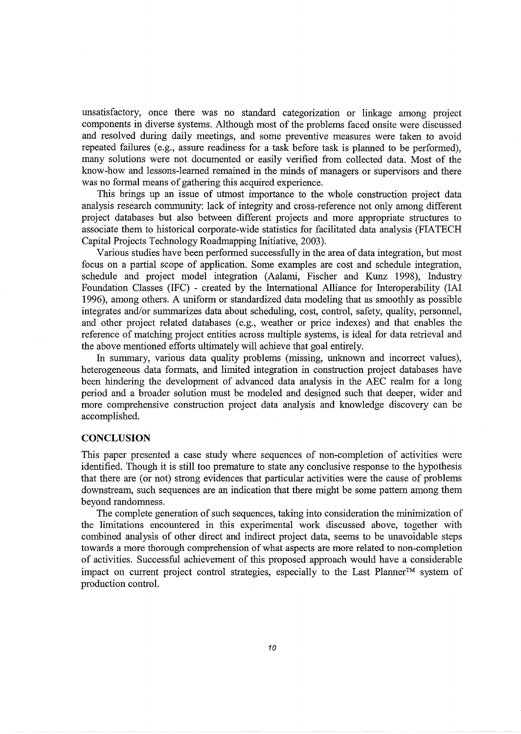unsatisfactory, once there was no standard categorization or linkage among project components in diverse systems. Although most of the problems faced onsite were discussed and resolved during daily meetings, and some preventive measures were taken to avoid repeated failures (e.g., assure readiness for a task before task is planned to be performed), many solutions were not documented or easily verified from collected data. Most of the know-how and lessons-learned remained in the minds of managers or supervisors and there was no formal means of gathering this acquired experience.

This brings up an issue of utmost importance to the whole construction project data analysis research community: lack of integrity and cross-reference not only among different project databases but also between different projects and more appropriate structures to associate them to historical corporate-wide statistics for facilitated data analysis (FIATECH Capital Projects Technology Roadmapping Initiative, 2003).

Various studies have been performed successfully in the area of data integration, but most focus on a partial scope of application. Some examples are cost and schedule integration, schedule and project model integration (Aalami, Fischer and Kunz 1998), Industry Foundation Classes (IFC) - created by the International Alliance for Interoperability (IAI 1996), among others. A uniform or standardized data modeling that as smoothly as possible integrates and/or summarizes data about scheduling, cost, control, safety, quality, personnel, and other project related databases (e.g., weather or price indexes) and that enables the reference of matching project entities across multiple systems, is ideal for data retrieval and the above mentioned efforts ultimately will achieve that goal entirely.

In summary, various data quality problems (missing, unknown and incorrect values), heterogeneous data formats, and limited integration in construction project databases have been hindering the development of advanced data analysis in the AEC realm for a long period and a broader solution must be modeled and designed such that deeper, wider and more comprehensive construction project data analysis and knowledge discovery can be accomplished.

#### **CONCLUSION**

This paper presented a case study where sequences of non-completion of activities were identified. Though it is still too premature to state any conclusive response to the hypothesis that there are (or not) strong evidences that particular activities were the cause of problems downstream, such sequences are an indication that there might be some pattern among them beyond randomness.

The complete generation of such sequences, taking into consideration the minimization of the limitations encountered in this experimental work discussed above, together with combined analysis of other direct and indirect project data, seems to be unavoidable steps towards a more thorough comprehension of what aspects are more related to non-completion of activities. Successful achievement of this proposed approach would have a considerable impact on current project control strategies, especially to the Last Planner™ system of production control.